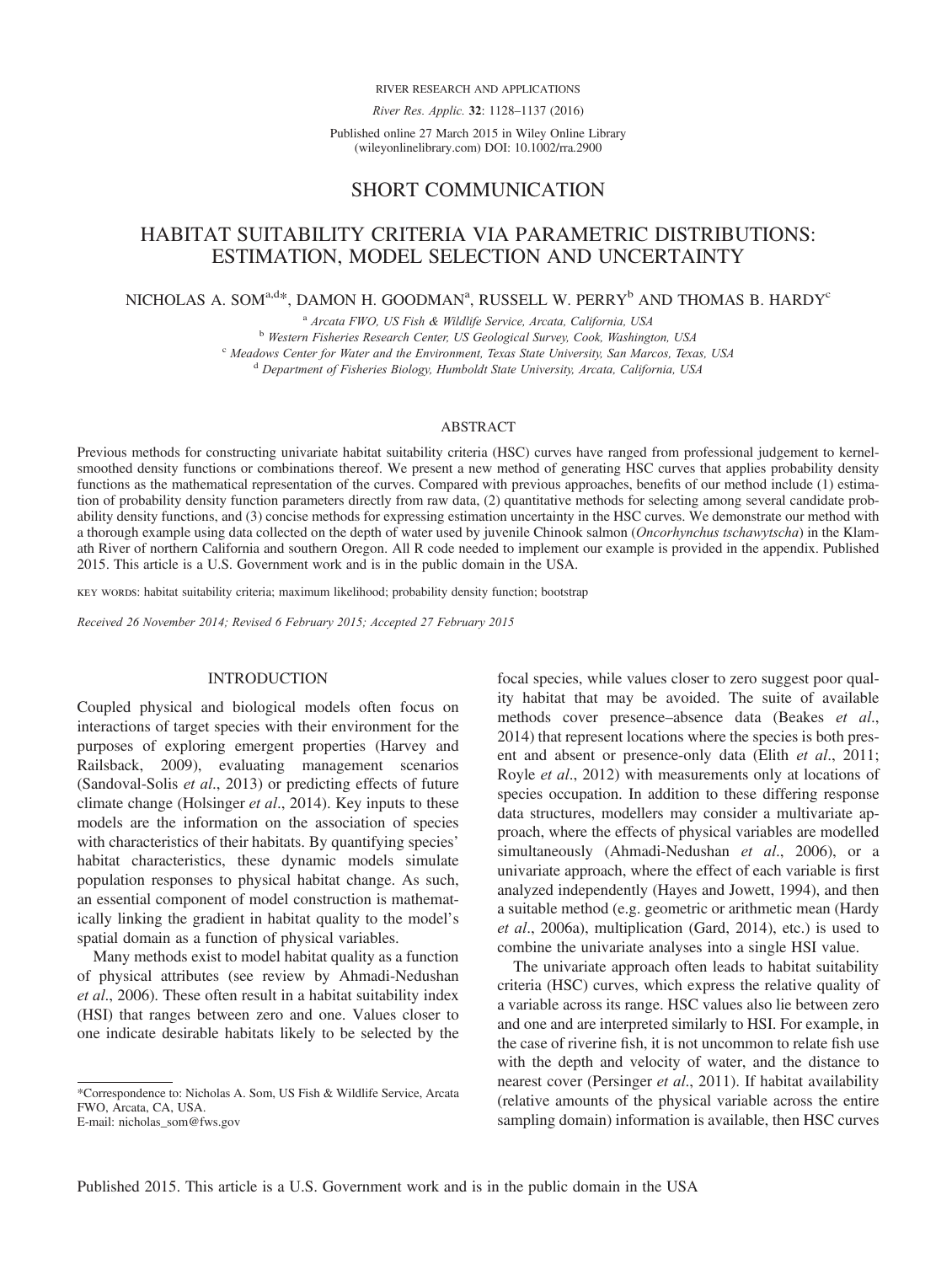#### RIVER RESEARCH AND APPLICATIONS

River Res. Applic. 32: 1128–1137 (2016)

Published online 27 March 2015 in Wiley Online Library (wileyonlinelibrary.com) DOI: 10.1002/rra.2900

## SHORT COMMUNICATION

# HABITAT SUITABILITY CRITERIA VIA PARAMETRIC DISTRIBUTIONS: ESTIMATION, MODEL SELECTION AND UNCERTAINTY

# NICHOLAS A. SOM $^{a,d\ast},$  DAMON H. GOODMAN $^{a},$  RUSSELL W. PERRY $^{b}$  AND THOMAS B. HARDY $^{\rm c}$

<sup>a</sup> Arcata FWO, US Fish & Wildlife Service, Arcata, California, USA<br><sup>b</sup> Western Fisheries Research Center, US Geological Survey, Cook, Washington, USA

 $\degree$  Meadows Center for Water and the Environment, Texas State University, San Marcos, Texas, USA

<sup>d</sup> Department of Fisheries Biology, Humboldt State University, Arcata, California, USA

#### ABSTRACT

Previous methods for constructing univariate habitat suitability criteria (HSC) curves have ranged from professional judgement to kernelsmoothed density functions or combinations thereof. We present a new method of generating HSC curves that applies probability density functions as the mathematical representation of the curves. Compared with previous approaches, benefits of our method include (1) estimation of probability density function parameters directly from raw data, (2) quantitative methods for selecting among several candidate probability density functions, and (3) concise methods for expressing estimation uncertainty in the HSC curves. We demonstrate our method with a thorough example using data collected on the depth of water used by juvenile Chinook salmon (Oncorhynchus tschawytscha) in the Klamath River of northern California and southern Oregon. All R code needed to implement our example is provided in the appendix. Published 2015. This article is a U.S. Government work and is in the public domain in the USA.

key words: habitat suitability criteria; maximum likelihood; probability density function; bootstrap

Received 26 November 2014; Revised 6 February 2015; Accepted 27 February 2015

### INTRODUCTION

Coupled physical and biological models often focus on interactions of target species with their environment for the purposes of exploring emergent properties (Harvey and Railsback, 2009), evaluating management scenarios (Sandoval-Solis et al., 2013) or predicting effects of future climate change (Holsinger et al., 2014). Key inputs to these models are the information on the association of species with characteristics of their habitats. By quantifying species' habitat characteristics, these dynamic models simulate population responses to physical habitat change. As such, an essential component of model construction is mathematically linking the gradient in habitat quality to the model's spatial domain as a function of physical variables.

Many methods exist to model habitat quality as a function of physical attributes (see review by Ahmadi-Nedushan et al., 2006). These often result in a habitat suitability index (HSI) that ranges between zero and one. Values closer to one indicate desirable habitats likely to be selected by the

E-mail: nicholas\_som@fws.gov

focal species, while values closer to zero suggest poor quality habitat that may be avoided. The suite of available methods cover presence–absence data (Beakes et al., 2014) that represent locations where the species is both present and absent or presence-only data (Elith et al., 2011; Royle et al., 2012) with measurements only at locations of species occupation. In addition to these differing response data structures, modellers may consider a multivariate approach, where the effects of physical variables are modelled simultaneously (Ahmadi-Nedushan et al., 2006), or a univariate approach, where the effect of each variable is first analyzed independently (Hayes and Jowett, 1994), and then a suitable method (e.g. geometric or arithmetic mean (Hardy et al., 2006a), multiplication (Gard, 2014), etc.) is used to combine the univariate analyses into a single HSI value.

The univariate approach often leads to habitat suitability criteria (HSC) curves, which express the relative quality of a variable across its range. HSC values also lie between zero and one and are interpreted similarly to HSI. For example, in the case of riverine fish, it is not uncommon to relate fish use with the depth and velocity of water, and the distance to nearest cover (Persinger et al., 2011). If habitat availability (relative amounts of the physical variable across the entire sampling domain) information is available, then HSC curves

<sup>\*</sup>Correspondence to: Nicholas A. Som, US Fish & Wildlife Service, Arcata FWO, Arcata, CA, USA.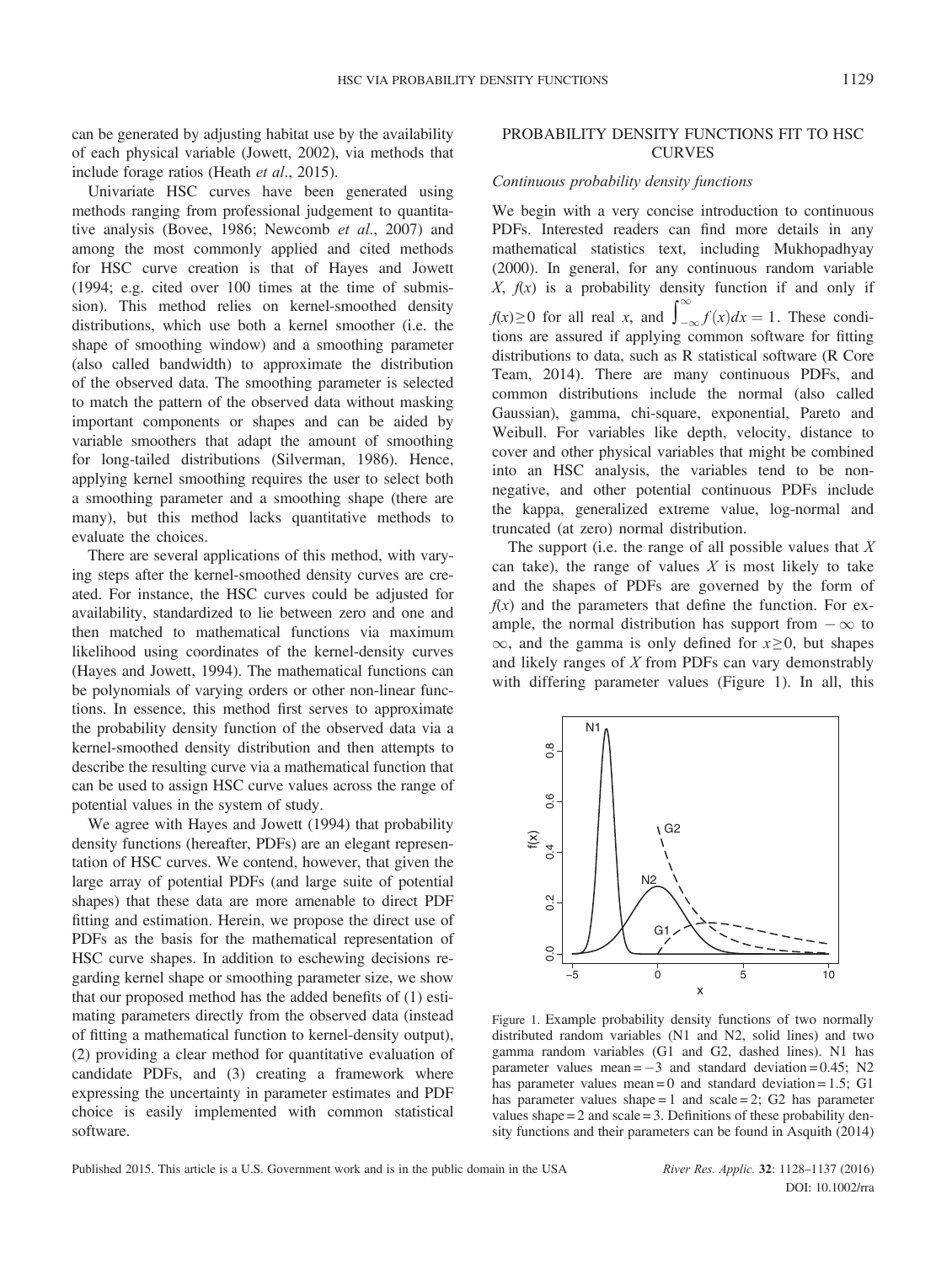can be generated by adjusting habitat use by the availability of each physical variable (Jowett, 2002), via methods that include forage ratios (Heath et al., 2015).

Univariate HSC curves have been generated using methods ranging from professional judgement to quantitative analysis (Bovee, 1986; Newcomb et al., 2007) and among the most commonly applied and cited methods for HSC curve creation is that of Hayes and Jowett (1994; e.g. cited over 100 times at the time of submission). This method relies on kernel-smoothed density distributions, which use both a kernel smoother (i.e. the shape of smoothing window) and a smoothing parameter (also called bandwidth) to approximate the distribution of the observed data. The smoothing parameter is selected to match the pattern of the observed data without masking important components or shapes and can be aided by variable smoothers that adapt the amount of smoothing for long-tailed distributions (Silverman, 1986). Hence, applying kernel smoothing requires the user to select both a smoothing parameter and a smoothing shape (there are many), but this method lacks quantitative methods to evaluate the choices.

There are several applications of this method, with varying steps after the kernel-smoothed density curves are created. For instance, the HSC curves could be adjusted for availability, standardized to lie between zero and one and then matched to mathematical functions via maximum likelihood using coordinates of the kernel-density curves (Hayes and Jowett, 1994). The mathematical functions can be polynomials of varying orders or other non-linear functions. In essence, this method first serves to approximate the probability density function of the observed data via a kernel-smoothed density distribution and then attempts to describe the resulting curve via a mathematical function that can be used to assign HSC curve values across the range of potential values in the system of study.

We agree with Hayes and Jowett (1994) that probability density functions (hereafter, PDFs) are an elegant representation of HSC curves. We contend, however, that given the large array of potential PDFs (and large suite of potential shapes) that these data are more amenable to direct PDF fitting and estimation. Herein, we propose the direct use of PDFs as the basis for the mathematical representation of HSC curve shapes. In addition to eschewing decisions regarding kernel shape or smoothing parameter size, we show that our proposed method has the added benefits of (1) estimating parameters directly from the observed data (instead of fitting a mathematical function to kernel-density output), (2) providing a clear method for quantitative evaluation of candidate PDFs, and (3) creating a framework where expressing the uncertainty in parameter estimates and PDF choice is easily implemented with common statistical software.

### PROBABILITY DENSITY FUNCTIONS FIT TO HSC **CURVES**

### Continuous probability density functions

We begin with a very concise introduction to continuous PDFs. Interested readers can find more details in any mathematical statistics text, including Mukhopadhyay (2000). In general, for any continuous random variable X,  $f(x)$  is a probability density function if and only if  $f(x) \ge 0$  for all real x, and  $\int_{-1}^{\infty}$  $\int_{-\infty}^{\infty} f(x)dx = 1$ . These conditions are assured if applying common software for fitting distributions to data, such as R statistical software (R Core Team, 2014). There are many continuous PDFs, and common distributions include the normal (also called Gaussian), gamma, chi-square, exponential, Pareto and Weibull. For variables like depth, velocity, distance to cover and other physical variables that might be combined into an HSC analysis, the variables tend to be nonnegative, and other potential continuous PDFs include the kappa, generalized extreme value, log-normal and truncated (at zero) normal distribution.

The support (i.e. the range of all possible values that  $X$ can take), the range of values  $X$  is most likely to take and the shapes of PDFs are governed by the form of  $f(x)$  and the parameters that define the function. For example, the normal distribution has support from  $-\infty$  to  $\infty$ , and the gamma is only defined for  $x \ge 0$ , but shapes and likely ranges of X from PDFs can vary demonstrably with differing parameter values (Figure 1). In all, this



Figure 1. Example probability density functions of two normally distributed random variables (N1 and N2, solid lines) and two gamma random variables (G1 and G2, dashed lines). N1 has parameter values mean  $=-3$  and standard deviation = 0.45; N2 has parameter values mean  $= 0$  and standard deviation  $= 1.5$ ; G1 has parameter values shape = 1 and scale = 2; G2 has parameter values shape  $= 2$  and scale  $= 3$ . Definitions of these probability density functions and their parameters can be found in Asquith (2014)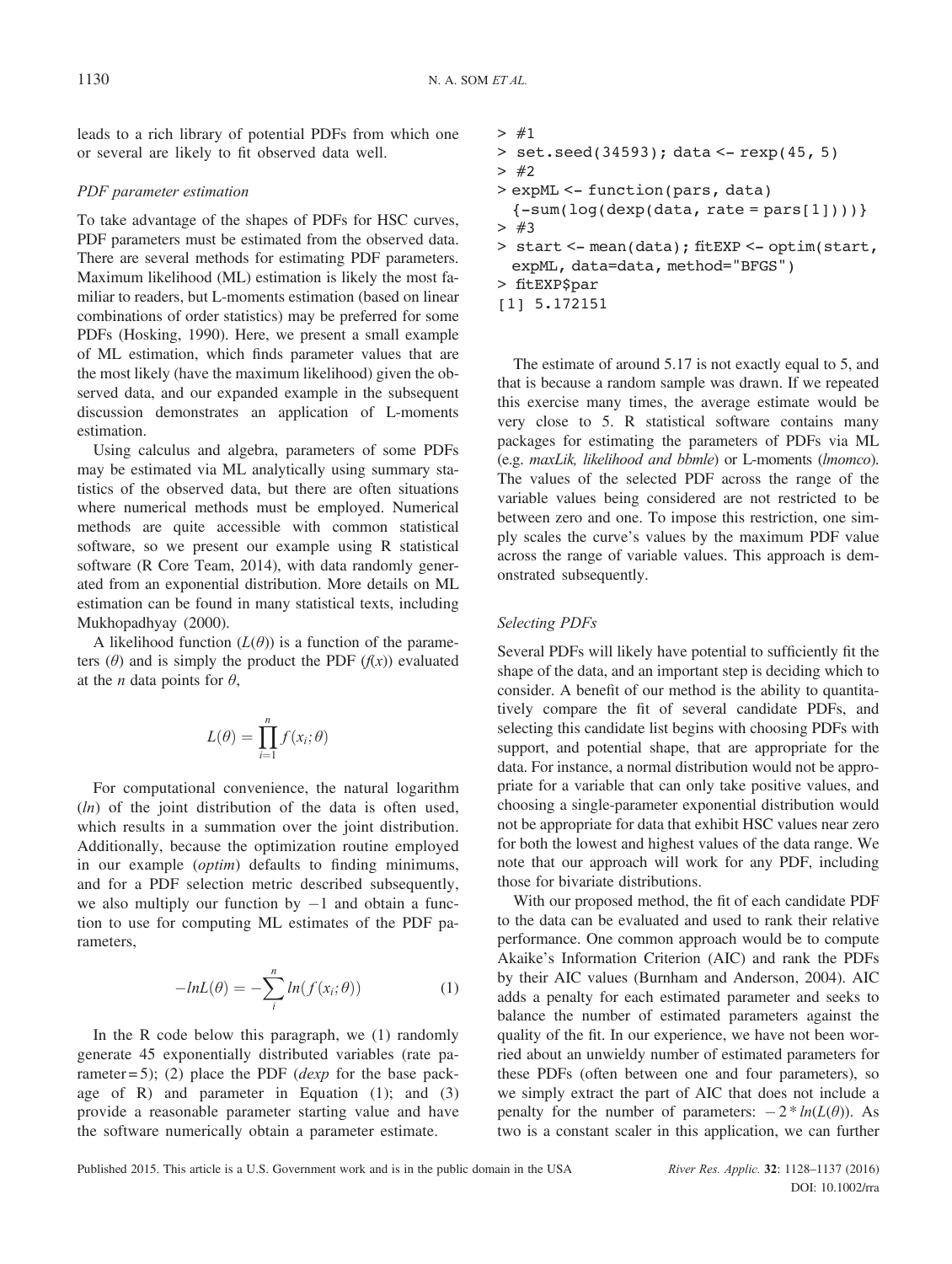leads to a rich library of potential PDFs from which one or several are likely to fit observed data well.

### PDF parameter estimation

To take advantage of the shapes of PDFs for HSC curves, PDF parameters must be estimated from the observed data. There are several methods for estimating PDF parameters. Maximum likelihood (ML) estimation is likely the most familiar to readers, but L-moments estimation (based on linear combinations of order statistics) may be preferred for some PDFs (Hosking, 1990). Here, we present a small example of ML estimation, which finds parameter values that are the most likely (have the maximum likelihood) given the observed data, and our expanded example in the subsequent discussion demonstrates an application of L-moments estimation.

Using calculus and algebra, parameters of some PDFs may be estimated via ML analytically using summary statistics of the observed data, but there are often situations where numerical methods must be employed. Numerical methods are quite accessible with common statistical software, so we present our example using R statistical software (R Core Team, 2014), with data randomly generated from an exponential distribution. More details on ML estimation can be found in many statistical texts, including Mukhopadhyay (2000).

A likelihood function  $(L(\theta))$  is a function of the parameters  $(\theta)$  and is simply the product the PDF  $(f(x))$  evaluated at the *n* data points for  $\theta$ ,

$$
L(\theta) = \prod_{i=1}^{n} f(x_i; \theta)
$$

For computational convenience, the natural logarithm  $(ln)$  of the joint distribution of the data is often used, which results in a summation over the joint distribution. Additionally, because the optimization routine employed in our example (optim) defaults to finding minimums, and for a PDF selection metric described subsequently, we also multiply our function by  $-1$  and obtain a function to use for computing ML estimates of the PDF parameters,

$$
-lnL(\theta) = -\sum_{i}^{n} ln(f(x_i; \theta))
$$
 (1)

In the R code below this paragraph, we (1) randomly generate 45 exponentially distributed variables (rate parameter = 5); (2) place the PDF (*dexp* for the base package of R) and parameter in Equation  $(1)$ ; and  $(3)$ provide a reasonable parameter starting value and have the software numerically obtain a parameter estimate.

> #1 > set.seed(34593); data <- rexp(45, 5) > #2 > expML <- function(pars, data) {-sum(log(dexp(data, rate = pars[1])))} > #3 > start <- mean(data); fitEXP <- optim(start, expML, data=data, method="BFGS") > fitEXP\$par [1] 5.172151

The estimate of around 5.17 is not exactly equal to 5, and that is because a random sample was drawn. If we repeated this exercise many times, the average estimate would be very close to 5. R statistical software contains many packages for estimating the parameters of PDFs via ML (e.g. maxLik, likelihood and bbmle) or L-moments (lmomco). The values of the selected PDF across the range of the variable values being considered are not restricted to be between zero and one. To impose this restriction, one simply scales the curve's values by the maximum PDF value across the range of variable values. This approach is demonstrated subsequently.

### Selecting PDFs

Several PDFs will likely have potential to sufficiently fit the shape of the data, and an important step is deciding which to consider. A benefit of our method is the ability to quantitatively compare the fit of several candidate PDFs, and selecting this candidate list begins with choosing PDFs with support, and potential shape, that are appropriate for the data. For instance, a normal distribution would not be appropriate for a variable that can only take positive values, and choosing a single-parameter exponential distribution would not be appropriate for data that exhibit HSC values near zero for both the lowest and highest values of the data range. We note that our approach will work for any PDF, including those for bivariate distributions.

With our proposed method, the fit of each candidate PDF to the data can be evaluated and used to rank their relative performance. One common approach would be to compute Akaike's Information Criterion (AIC) and rank the PDFs by their AIC values (Burnham and Anderson, 2004). AIC adds a penalty for each estimated parameter and seeks to balance the number of estimated parameters against the quality of the fit. In our experience, we have not been worried about an unwieldy number of estimated parameters for these PDFs (often between one and four parameters), so we simply extract the part of AIC that does not include a penalty for the number of parameters:  $-2 * ln(L(\theta))$ . As two is a constant scaler in this application, we can further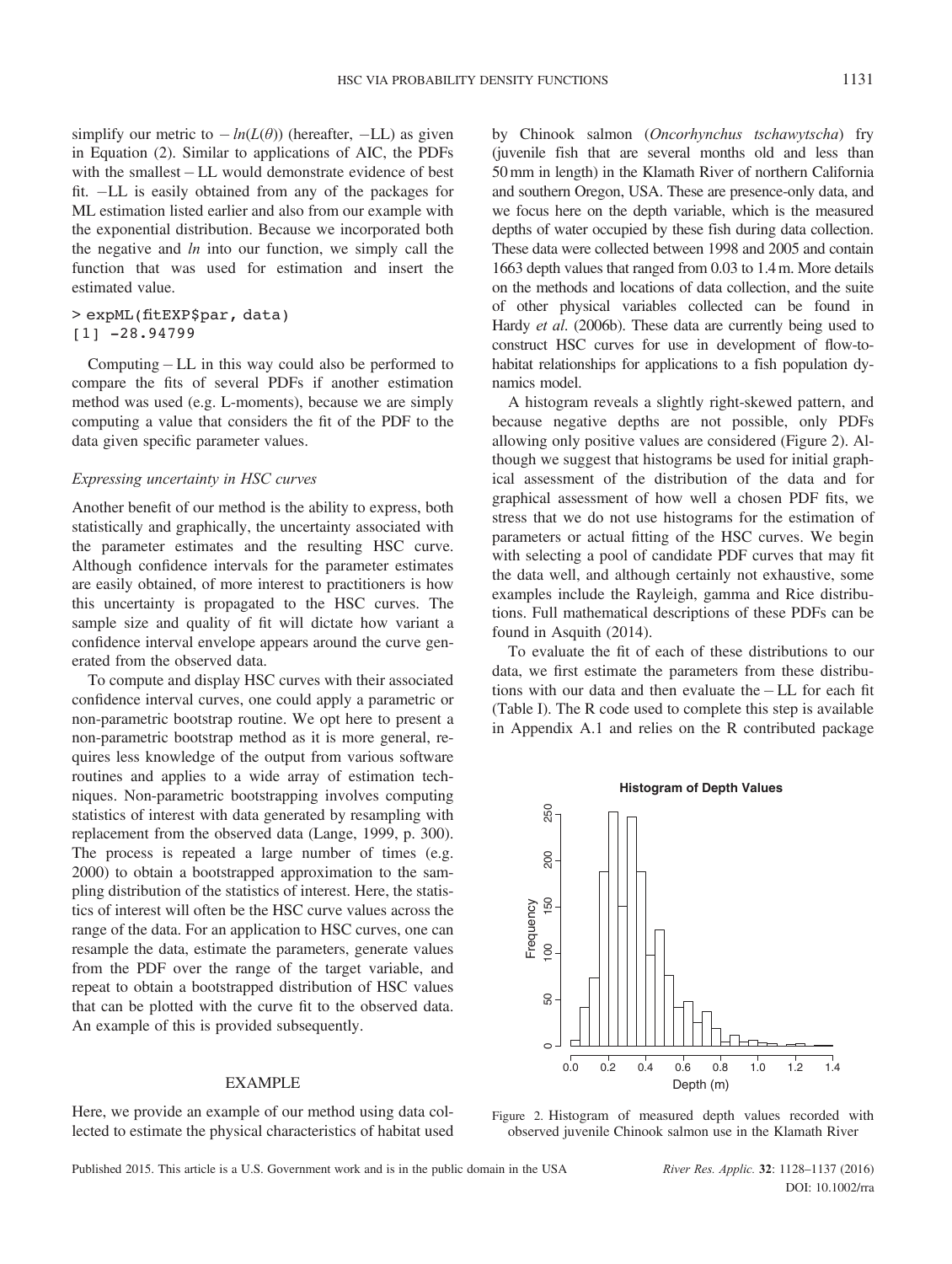simplify our metric to  $- ln(L(\theta))$  (hereafter,  $-LL$ ) as given in Equation (2). Similar to applications of AIC, the PDFs with the smallest – LL would demonstrate evidence of best

fit. -LL is easily obtained from any of the packages for ML estimation listed earlier and also from our example with the exponential distribution. Because we incorporated both the negative and  $ln$  into our function, we simply call the function that was used for estimation and insert the estimated value.

## > expML(fitEXP\$par, data) [1] -28.94799

Computing- LL in this way could also be performed to compare the fits of several PDFs if another estimation method was used (e.g. L-moments), because we are simply computing a value that considers the fit of the PDF to the data given specific parameter values.

### Expressing uncertainty in HSC curves

Another benefit of our method is the ability to express, both statistically and graphically, the uncertainty associated with the parameter estimates and the resulting HSC curve. Although confidence intervals for the parameter estimates are easily obtained, of more interest to practitioners is how this uncertainty is propagated to the HSC curves. The sample size and quality of fit will dictate how variant a confidence interval envelope appears around the curve generated from the observed data.

To compute and display HSC curves with their associated confidence interval curves, one could apply a parametric or non-parametric bootstrap routine. We opt here to present a non-parametric bootstrap method as it is more general, requires less knowledge of the output from various software routines and applies to a wide array of estimation techniques. Non-parametric bootstrapping involves computing statistics of interest with data generated by resampling with replacement from the observed data (Lange, 1999, p. 300). The process is repeated a large number of times (e.g. 2000) to obtain a bootstrapped approximation to the sampling distribution of the statistics of interest. Here, the statistics of interest will often be the HSC curve values across the range of the data. For an application to HSC curves, one can resample the data, estimate the parameters, generate values from the PDF over the range of the target variable, and repeat to obtain a bootstrapped distribution of HSC values that can be plotted with the curve fit to the observed data. An example of this is provided subsequently.

#### EXAMPLE

Here, we provide an example of our method using data collected to estimate the physical characteristics of habitat used by Chinook salmon (Oncorhynchus tschawytscha) fry (juvenile fish that are several months old and less than 50 mm in length) in the Klamath River of northern California and southern Oregon, USA. These are presence-only data, and we focus here on the depth variable, which is the measured depths of water occupied by these fish during data collection. These data were collected between 1998 and 2005 and contain 1663 depth values that ranged from 0.03 to 1.4 m. More details on the methods and locations of data collection, and the suite of other physical variables collected can be found in Hardy et al. (2006b). These data are currently being used to construct HSC curves for use in development of flow-tohabitat relationships for applications to a fish population dynamics model.

A histogram reveals a slightly right-skewed pattern, and because negative depths are not possible, only PDFs allowing only positive values are considered (Figure 2). Although we suggest that histograms be used for initial graphical assessment of the distribution of the data and for graphical assessment of how well a chosen PDF fits, we stress that we do not use histograms for the estimation of parameters or actual fitting of the HSC curves. We begin with selecting a pool of candidate PDF curves that may fit the data well, and although certainly not exhaustive, some examples include the Rayleigh, gamma and Rice distributions. Full mathematical descriptions of these PDFs can be found in Asquith (2014).

To evaluate the fit of each of these distributions to our data, we first estimate the parameters from these distributions with our data and then evaluate the-LL for each fit (Table I). The R code used to complete this step is available in Appendix A.1 and relies on the R contributed package





Figure 2. Histogram of measured depth values recorded with observed juvenile Chinook salmon use in the Klamath River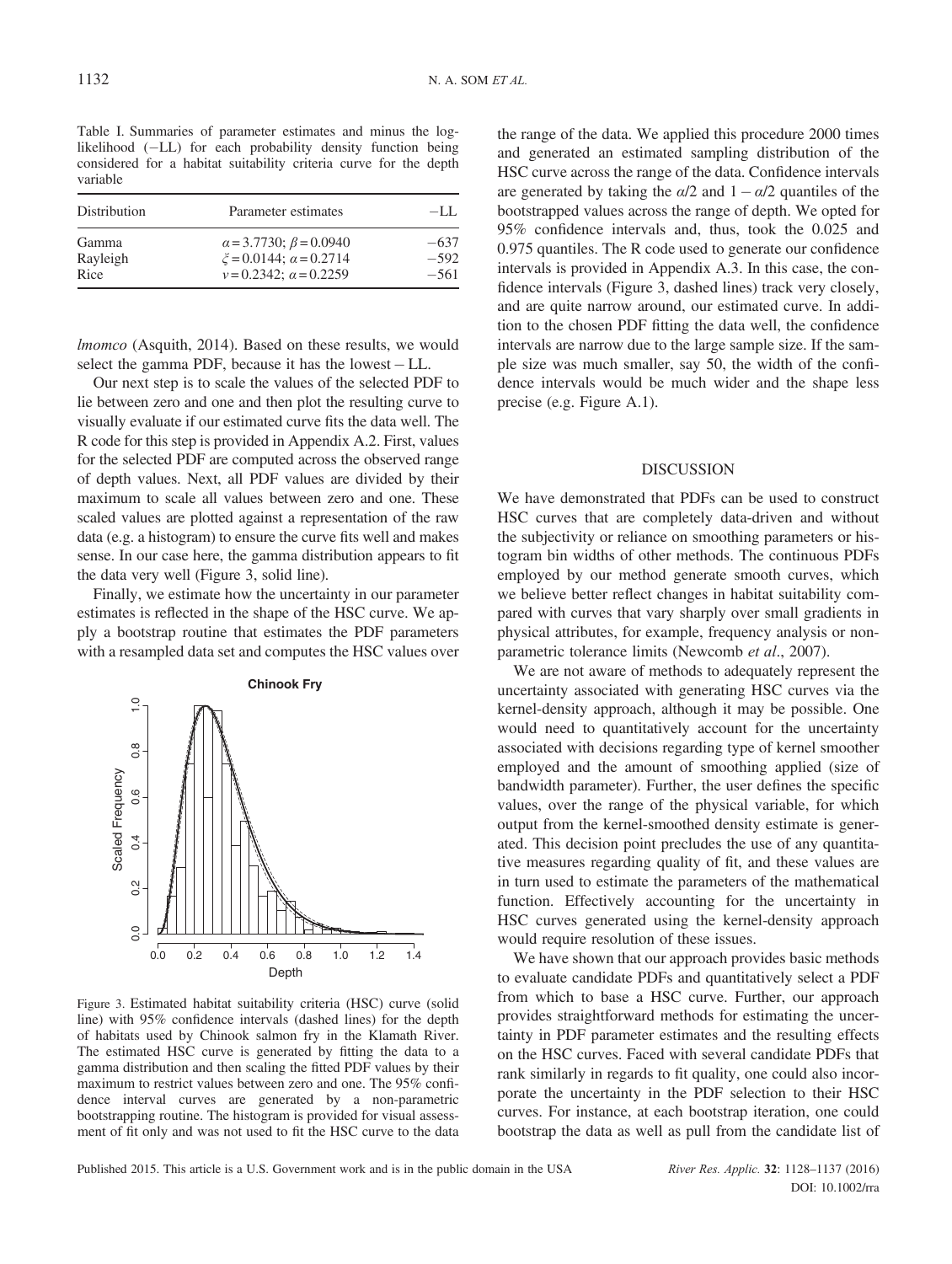Table I. Summaries of parameter estimates and minus the loglikelihood (-LL) for each probability density function being considered for a habitat suitability criteria curve for the depth variable

| Distribution | Parameter estimates                 | $-11.$ |
|--------------|-------------------------------------|--------|
| Gamma        | $\alpha$ = 3.7730; $\beta$ = 0.0940 | $-637$ |
| Rayleigh     | $\xi$ = 0.0144; $\alpha$ = 0.2714   | $-592$ |
| Rice         | $v = 0.2342$ ; $\alpha = 0.2259$    | $-561$ |

lmomco (Asquith, 2014). Based on these results, we would select the gamma PDF, because it has the lowest- LL.

Our next step is to scale the values of the selected PDF to lie between zero and one and then plot the resulting curve to visually evaluate if our estimated curve fits the data well. The R code for this step is provided in Appendix A.2. First, values for the selected PDF are computed across the observed range of depth values. Next, all PDF values are divided by their maximum to scale all values between zero and one. These scaled values are plotted against a representation of the raw data (e.g. a histogram) to ensure the curve fits well and makes sense. In our case here, the gamma distribution appears to fit the data very well (Figure 3, solid line).

Finally, we estimate how the uncertainty in our parameter estimates is reflected in the shape of the HSC curve. We apply a bootstrap routine that estimates the PDF parameters with a resampled data set and computes the HSC values over



Figure 3. Estimated habitat suitability criteria (HSC) curve (solid line) with 95% confidence intervals (dashed lines) for the depth of habitats used by Chinook salmon fry in the Klamath River. The estimated HSC curve is generated by fitting the data to a gamma distribution and then scaling the fitted PDF values by their maximum to restrict values between zero and one. The 95% confidence interval curves are generated by a non-parametric bootstrapping routine. The histogram is provided for visual assessment of fit only and was not used to fit the HSC curve to the data

the range of the data. We applied this procedure 2000 times and generated an estimated sampling distribution of the HSC curve across the range of the data. Confidence intervals are generated by taking the  $\alpha/2$  and  $1 - \alpha/2$  quantiles of the bootstrapped values across the range of depth. We opted for 95% confidence intervals and, thus, took the 0.025 and 0.975 quantiles. The R code used to generate our confidence intervals is provided in Appendix A.3. In this case, the confidence intervals (Figure 3, dashed lines) track very closely, and are quite narrow around, our estimated curve. In addition to the chosen PDF fitting the data well, the confidence intervals are narrow due to the large sample size. If the sample size was much smaller, say 50, the width of the confidence intervals would be much wider and the shape less precise (e.g. Figure A.1).

### DISCUSSION

We have demonstrated that PDFs can be used to construct HSC curves that are completely data-driven and without the subjectivity or reliance on smoothing parameters or histogram bin widths of other methods. The continuous PDFs employed by our method generate smooth curves, which we believe better reflect changes in habitat suitability compared with curves that vary sharply over small gradients in physical attributes, for example, frequency analysis or nonparametric tolerance limits (Newcomb et al., 2007).

We are not aware of methods to adequately represent the uncertainty associated with generating HSC curves via the kernel-density approach, although it may be possible. One would need to quantitatively account for the uncertainty associated with decisions regarding type of kernel smoother employed and the amount of smoothing applied (size of bandwidth parameter). Further, the user defines the specific values, over the range of the physical variable, for which output from the kernel-smoothed density estimate is generated. This decision point precludes the use of any quantitative measures regarding quality of fit, and these values are in turn used to estimate the parameters of the mathematical function. Effectively accounting for the uncertainty in HSC curves generated using the kernel-density approach would require resolution of these issues.

We have shown that our approach provides basic methods to evaluate candidate PDFs and quantitatively select a PDF from which to base a HSC curve. Further, our approach provides straightforward methods for estimating the uncertainty in PDF parameter estimates and the resulting effects on the HSC curves. Faced with several candidate PDFs that rank similarly in regards to fit quality, one could also incorporate the uncertainty in the PDF selection to their HSC curves. For instance, at each bootstrap iteration, one could bootstrap the data as well as pull from the candidate list of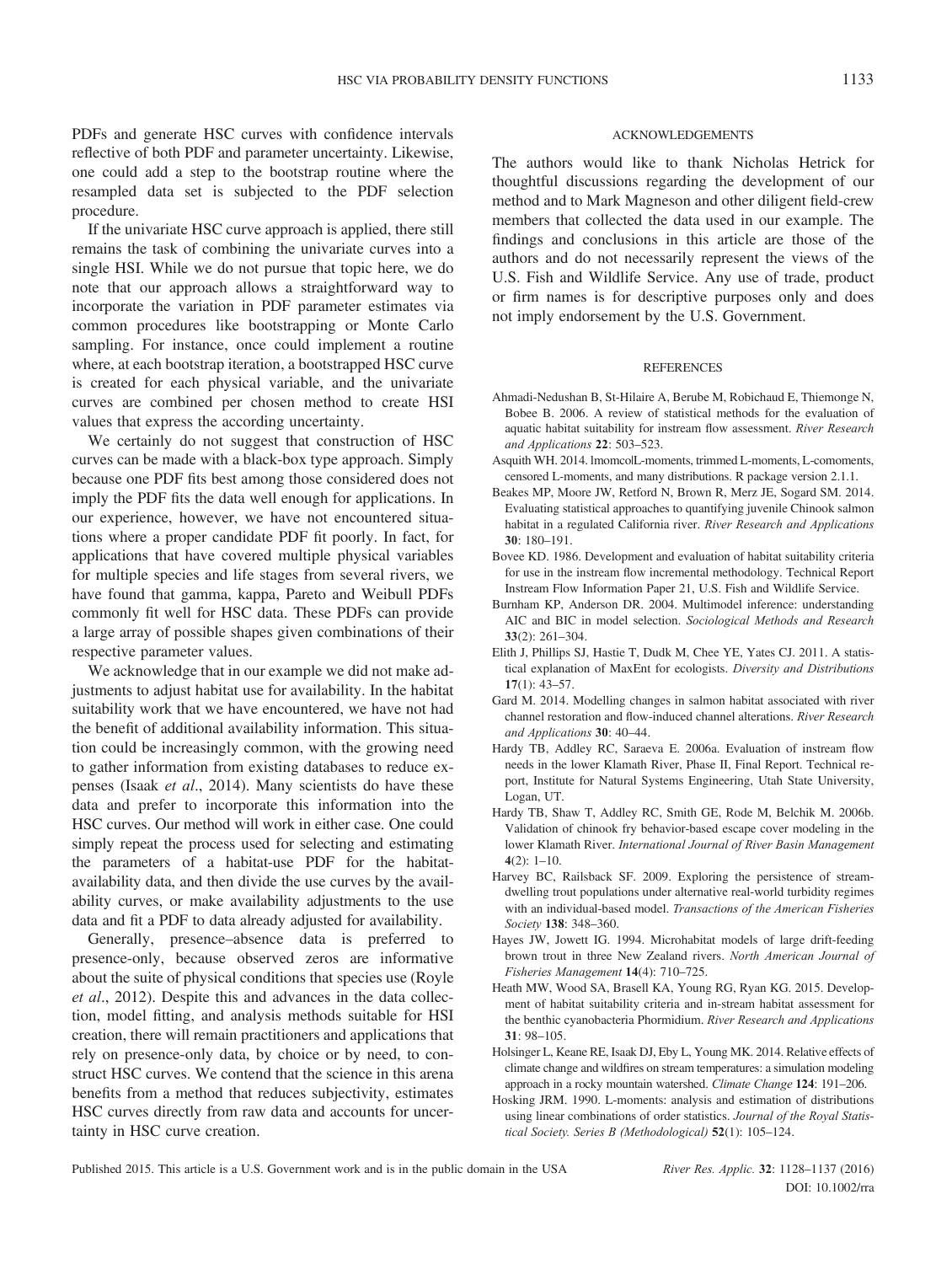PDFs and generate HSC curves with confidence intervals reflective of both PDF and parameter uncertainty. Likewise, one could add a step to the bootstrap routine where the resampled data set is subjected to the PDF selection procedure.

If the univariate HSC curve approach is applied, there still remains the task of combining the univariate curves into a single HSI. While we do not pursue that topic here, we do note that our approach allows a straightforward way to incorporate the variation in PDF parameter estimates via common procedures like bootstrapping or Monte Carlo sampling. For instance, once could implement a routine where, at each bootstrap iteration, a bootstrapped HSC curve is created for each physical variable, and the univariate curves are combined per chosen method to create HSI values that express the according uncertainty.

We certainly do not suggest that construction of HSC curves can be made with a black-box type approach. Simply because one PDF fits best among those considered does not imply the PDF fits the data well enough for applications. In our experience, however, we have not encountered situations where a proper candidate PDF fit poorly. In fact, for applications that have covered multiple physical variables for multiple species and life stages from several rivers, we have found that gamma, kappa, Pareto and Weibull PDFs commonly fit well for HSC data. These PDFs can provide a large array of possible shapes given combinations of their respective parameter values.

We acknowledge that in our example we did not make adjustments to adjust habitat use for availability. In the habitat suitability work that we have encountered, we have not had the benefit of additional availability information. This situation could be increasingly common, with the growing need to gather information from existing databases to reduce expenses (Isaak et al., 2014). Many scientists do have these data and prefer to incorporate this information into the HSC curves. Our method will work in either case. One could simply repeat the process used for selecting and estimating the parameters of a habitat-use PDF for the habitatavailability data, and then divide the use curves by the availability curves, or make availability adjustments to the use data and fit a PDF to data already adjusted for availability.

Generally, presence–absence data is preferred to presence-only, because observed zeros are informative about the suite of physical conditions that species use (Royle et al., 2012). Despite this and advances in the data collection, model fitting, and analysis methods suitable for HSI creation, there will remain practitioners and applications that rely on presence-only data, by choice or by need, to construct HSC curves. We contend that the science in this arena benefits from a method that reduces subjectivity, estimates HSC curves directly from raw data and accounts for uncertainty in HSC curve creation.

#### ACKNOWLEDGEMENTS

The authors would like to thank Nicholas Hetrick for thoughtful discussions regarding the development of our method and to Mark Magneson and other diligent field-crew members that collected the data used in our example. The findings and conclusions in this article are those of the authors and do not necessarily represent the views of the U.S. Fish and Wildlife Service. Any use of trade, product or firm names is for descriptive purposes only and does not imply endorsement by the U.S. Government.

#### **REFERENCES**

- Ahmadi-Nedushan B, St-Hilaire A, Berube M, Robichaud E, Thiemonge N, Bobee B. 2006. A review of statistical methods for the evaluation of aquatic habitat suitability for instream flow assessment. River Research and Applications 22: 503–523.
- Asquith WH. 2014. lmomco|L-moments, trimmed L-moments, L-comoments, censored L-moments, and many distributions. R package version 2.1.1.
- Beakes MP, Moore JW, Retford N, Brown R, Merz JE, Sogard SM. 2014. Evaluating statistical approaches to quantifying juvenile Chinook salmon habitat in a regulated California river. River Research and Applications 30: 180–191.
- Bovee KD. 1986. Development and evaluation of habitat suitability criteria for use in the instream flow incremental methodology. Technical Report Instream Flow Information Paper 21, U.S. Fish and Wildlife Service.
- Burnham KP, Anderson DR. 2004. Multimodel inference: understanding AIC and BIC in model selection. Sociological Methods and Research 33(2): 261–304.
- Elith J, Phillips SJ, Hastie T, Dudk M, Chee YE, Yates CJ. 2011. A statistical explanation of MaxEnt for ecologists. Diversity and Distributions  $17(1): 43-57.$
- Gard M. 2014. Modelling changes in salmon habitat associated with river channel restoration and flow-induced channel alterations. River Research and Applications 30: 40–44.
- Hardy TB, Addley RC, Saraeva E. 2006a. Evaluation of instream flow needs in the lower Klamath River, Phase II, Final Report. Technical report, Institute for Natural Systems Engineering, Utah State University, Logan, UT.
- Hardy TB, Shaw T, Addley RC, Smith GE, Rode M, Belchik M. 2006b. Validation of chinook fry behavior-based escape cover modeling in the lower Klamath River. International Journal of River Basin Management  $4(2)$ : 1–10.
- Harvey BC, Railsback SF. 2009. Exploring the persistence of streamdwelling trout populations under alternative real-world turbidity regimes with an individual-based model. Transactions of the American Fisheries Society 138: 348–360.
- Hayes JW, Jowett IG. 1994. Microhabitat models of large drift-feeding brown trout in three New Zealand rivers. North American Journal of Fisheries Management 14(4): 710–725.
- Heath MW, Wood SA, Brasell KA, Young RG, Ryan KG. 2015. Development of habitat suitability criteria and in-stream habitat assessment for the benthic cyanobacteria Phormidium. River Research and Applications 31: 98–105.
- Holsinger L, Keane RE, Isaak DJ, Eby L, Young MK. 2014. Relative effects of climate change and wildfires on stream temperatures: a simulation modeling approach in a rocky mountain watershed. Climate Change 124: 191–206.
- Hosking JRM. 1990. L-moments: analysis and estimation of distributions using linear combinations of order statistics. Journal of the Royal Statistical Society. Series B (Methodological) 52(1): 105–124.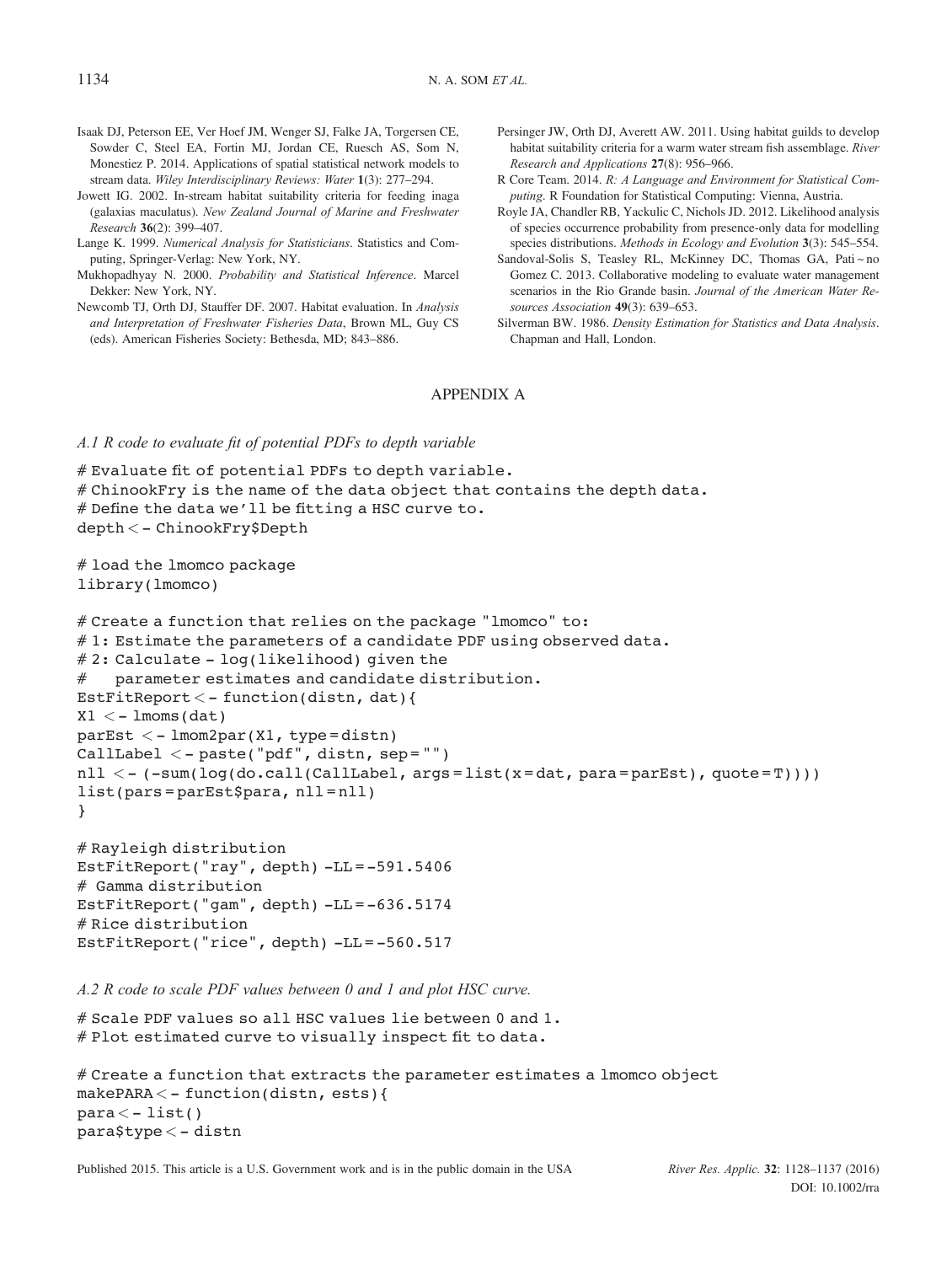- Isaak DJ, Peterson EE, Ver Hoef JM, Wenger SJ, Falke JA, Torgersen CE, Sowder C, Steel EA, Fortin MJ, Jordan CE, Ruesch AS, Som N, Monestiez P. 2014. Applications of spatial statistical network models to stream data. Wiley Interdisciplinary Reviews: Water 1(3): 277–294.
- Jowett IG. 2002. In-stream habitat suitability criteria for feeding inaga (galaxias maculatus). New Zealand Journal of Marine and Freshwater Research 36(2): 399–407.
- Lange K. 1999. Numerical Analysis for Statisticians. Statistics and Computing, Springer-Verlag: New York, NY.
- Mukhopadhyay N. 2000. Probability and Statistical Inference. Marcel Dekker: New York, NY.
- Newcomb TJ, Orth DJ, Stauffer DF. 2007. Habitat evaluation. In Analysis and Interpretation of Freshwater Fisheries Data, Brown ML, Guy CS (eds). American Fisheries Society: Bethesda, MD; 843–886.
- Persinger JW, Orth DJ, Averett AW. 2011. Using habitat guilds to develop habitat suitability criteria for a warm water stream fish assemblage. River Research and Applications 27(8): 956–966.
- R Core Team. 2014. R: A Language and Environment for Statistical Computing. R Foundation for Statistical Computing: Vienna, Austria.
- Royle JA, Chandler RB, Yackulic C, Nichols JD. 2012. Likelihood analysis of species occurrence probability from presence-only data for modelling species distributions. Methods in Ecology and Evolution 3(3): 545-554.
- Sandoval-Solis S, Teasley RL, McKinney DC, Thomas GA, Pati~no Gomez C. 2013. Collaborative modeling to evaluate water management scenarios in the Rio Grande basin. Journal of the American Water Resources Association 49(3): 639-653.
- Silverman BW. 1986. Density Estimation for Statistics and Data Analysis. Chapman and Hall, London.

## APPENDIX A

### A.1 R code to evaluate fit of potential PDFs to depth variable

```
# Evaluate fit of potential PDFs to depth variable.
# ChinookFry is the name of the data object that contains the depth data.
# Define the data we'll be fitting a HSC curve to.
depth< - ChinookFry$Depth
```

```
# load the lmomco package
library(lmomco)
```

```
# Create a function that relies on the package "lmomco" to:
# 1: Estimate the parameters of a candidate PDF using observed data.
# 2: Calculate - log(likelihood) given the
     parameter estimates and candidate distribution.
EstFitReport < - function(distn, dat){
X1 < -1 moms (dat)
parEst < - lmom2par(X1, type = distn)
CallLabel \langle -\text{paste}(\text{ndf}',\text{distn},\text{sep}=\text{''})nll \langle -(-\text{sum}(\text{log}(\text{do.call}(\text{CallLabel}, \text{args}=\text{list}(x=\text{dat}, \text{para}=\text{park})), \text{y}(\text{note}=\text{T})))\ranglelist(pars = parEst$para, nll = nll)
}
```

```
# Rayleigh distribution
EstFitReport("ray", depth) -LL = -591.5406
# Gamma distribution
EstFitReport("gam", depth) -LL = -636.5174
# Rice distribution
EstFitReport("rice", depth) -LL = -560.517
```
### A.2 R code to scale PDF values between 0 and 1 and plot HSC curve.

# Scale PDF values so all HSC values lie between 0 and 1. # Plot estimated curve to visually inspect fit to data.

```
# Create a function that extracts the parameter estimates a lmomco object
makePARA <- function(distn, ests){
para < - list()para$type <- distn
```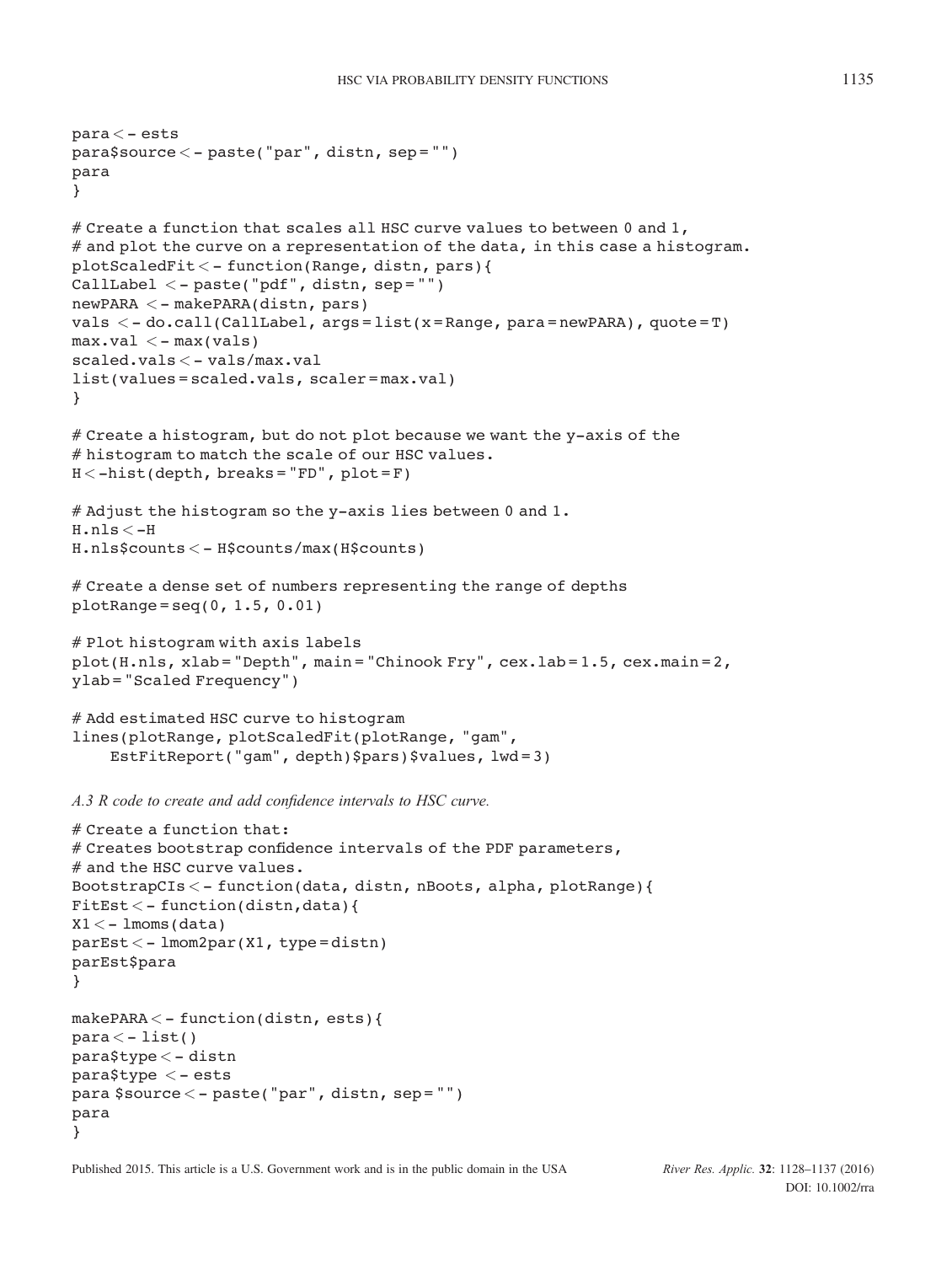```
para < - ests
para$source < - paste("par", distn, sep = "")
para
}
# Create a function that scales all HSC curve values to between 0 and 1,
# and plot the curve on a representation of the data, in this case a histogram.
plotScaledFit< - function(Range, distn, pars){
CallLabel \langle - paste("pdf", distn, sep = "")
newPARA <- makePARA(distn, pars)
vals < - do.call(CallLabel, args = list(x = Range, para = newPARA), quote = T)
max.val < - max(vals)scaled.vals < - vals/max.val
list(values = scaled.vals, scaler = max.val)
}
# Create a histogram, but do not plot because we want the y-axis of the
# histogram to match the scale of our HSC values.
H < -hist (depth, breaks = "FD", plot = F)
# Adjust the histogram so the y-axis lies between 0 and 1.
H.nls < -HH.nls$counts < - H$counts/max(H$counts)
# Create a dense set of numbers representing the range of depths
plotRange = seq(0, 1.5, 0.01)# Plot histogram with axis labels
plot(H.nls, xlab="Depth", main="Chinook Fry", cex.lab=1.5, cex.main=2,ylab = "Scaled Frequency")
# Add estimated HSC curve to histogram
lines(plotRange, plotScaledFit(plotRange, "gam",
    EstFitReport("gam", depth)$pars)$values, lwd=3)
A.3 R code to create and add confidence intervals to HSC curve.
# Create a function that:
# Creates bootstrap confidence intervals of the PDF parameters,
# and the HSC curve values.
BootstrapCIs < - function(data, distn, nBoots, alpha, plotRange){
FitEst < - function(distn,data){
X1 < -1 moms (data)
partst < -1mom2par(X1, type = distn)
parEst$para
}
makePARA <- function(distn, ests){
para < - list()para$type <- distn
paraStype <- ests
para $source < - paste("par", distn, sep = "")
para
```
}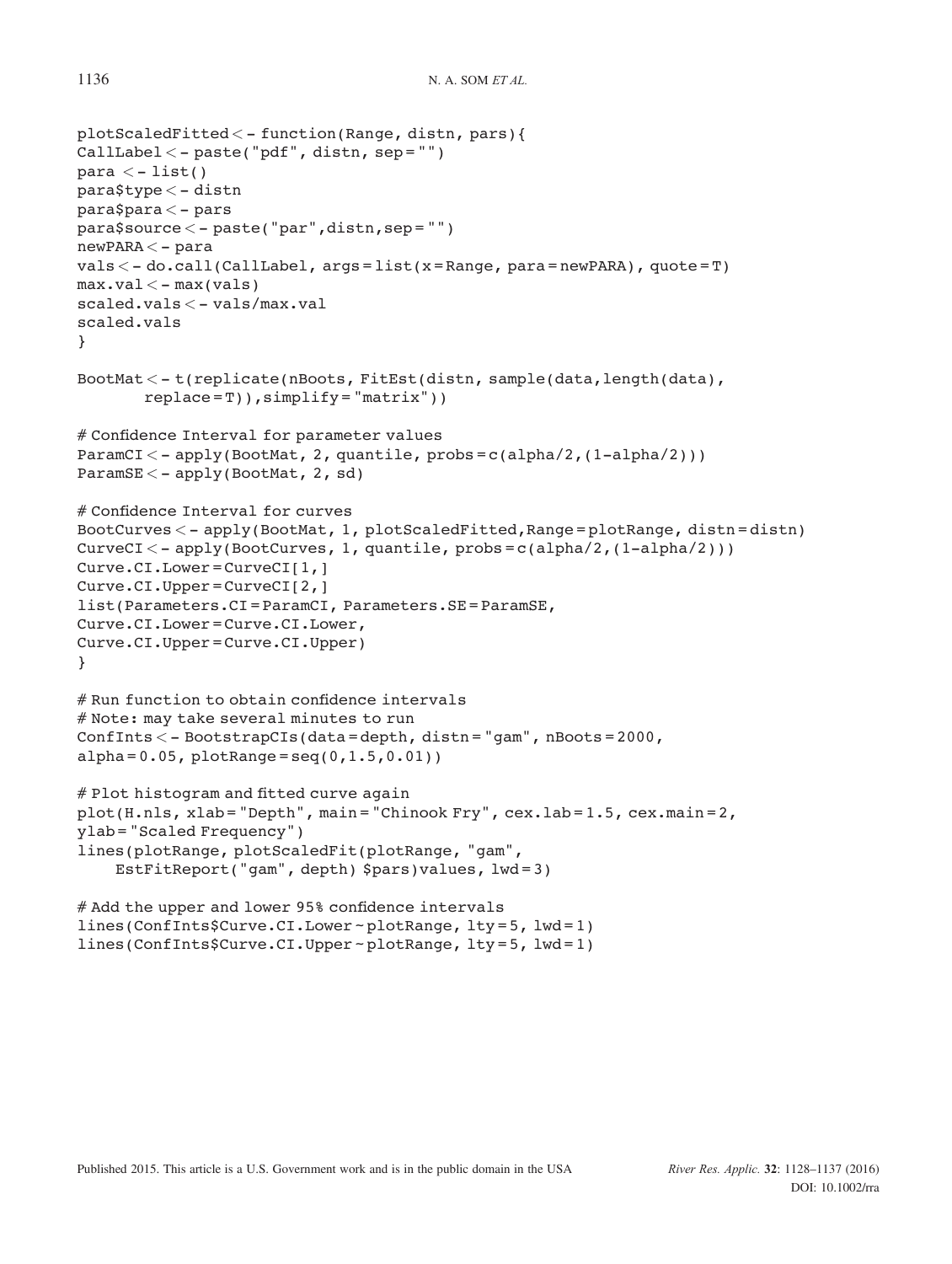```
plotScaledFitted< - function(Range, distn, pars){
CallLabel < -</math> paste("pdf", distn, sep="")para \langle - list()
para$type <- distn
para$para <- pars
para$source < - paste("par",distn,sep = "")
newPARA < - paravals< - do.call(CallLabel, args = list(x = Range, para = newPARA), quote = T)
max.val < - max(vals)scaled.vals < - vals/max.val
scaled.vals
}
BootMat <- t(replicate(nBoots, FitEst(distn, sample(data,length(data),
       replace = T)), simplify = "matrix")# Confidence Interval for parameter values
ParamCI \langle - apply(BootMat, 2, quantile, probs = c(alpha/2,(1-alpha/2)))
ParamSE <- apply(BootMat, 2, sd)
# Confidence Interval for curves
BootCurves < - apply(BootMat, 1, plotScaledFitted,Range = plotRange, distn = distn)
CurveCI <- apply(BootCurves, 1, quantile, probs = c(alpha/2, (1-alpha/2)))
Curve.CI.Lower = CurveCI[1,]
Curve.CI.Upper = CurveCI[2,]
list(Parameters.CI = ParamCI, Parameters.SE = ParamSE,
Curve.CI.Lower = Curve.CI.Lower,
Curve.CI.Upper = Curve.CI.Upper)
}
# Run function to obtain confidence intervals
# Note: may take several minutes to run
ConfInts <- BootstrapCIs(data = depth, distn = "gam", nBoots = 2000,
alpha = 0.05, plotRange = seq(0, 1.5, 0.01)# Plot histogram and fitted curve again
plot(H.nls, xlab = "Depth", main = "Chinook Fry", cex.lab = 1.5, cex.mainloop2,ylab = "Scaled Frequency")
lines(plotRange, plotScaledFit(plotRange, "gam",
    EstFitReport("gam", depth) $pars)values, lwd = 3)
# Add the upper and lower 95% confidence intervals
lines(ConfInts$Curve.CI.Lower ~ plotRange, lty = 5, lwd = 1)
lines(ConfInts$Curve.CI.Upper ~ plotRange, lty=5, lwd=1)
```